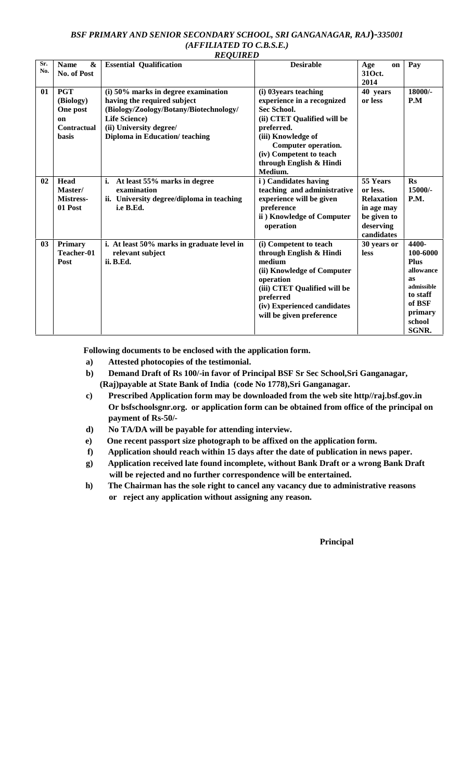#### *BSF PRIMARY AND SENIOR SECONDARY SCHOOL, SRI GANGANAGAR, RAJ***)-***335001 (AFFILIATED TO C.B.S.E.) REQUIRED*

| Sr.<br>No.     | <b>Name</b><br>&<br>No. of Post                                          | <b>Essential Qualification</b>                                                                                                                                                                    | <b>Desirable</b>                                                                                                                                                                                                                     | Age<br>on<br>310ct.<br>2014                                                                       | Pay                                                                                                                          |
|----------------|--------------------------------------------------------------------------|---------------------------------------------------------------------------------------------------------------------------------------------------------------------------------------------------|--------------------------------------------------------------------------------------------------------------------------------------------------------------------------------------------------------------------------------------|---------------------------------------------------------------------------------------------------|------------------------------------------------------------------------------------------------------------------------------|
| 01             | <b>PGT</b><br>(Biology)<br>One post<br>on<br>Contractual<br><b>basis</b> | (i) 50% marks in degree examination<br>having the required subject<br>(Biology/Zoology/Botany/Biotechnology/<br><b>Life Science</b> )<br>(ii) University degree/<br>Diploma in Education/teaching | (i) 03 years teaching<br>experience in a recognized<br><b>Sec School.</b><br>(ii) CTET Qualified will be<br>preferred.<br>(iii) Knowledge of<br>Computer operation.<br>(iv) Competent to teach<br>through English & Hindi<br>Medium. | 40 years<br>or less                                                                               | 18000/-<br>P.M                                                                                                               |
| 02             | Head<br>Master/<br><b>Mistress-</b><br>01 Post                           | At least 55% marks in degree<br>i.<br>examination<br>ii. University degree/diploma in teaching<br>i.e B.Ed.                                                                                       | i) Candidates having<br>teaching and administrative<br>experience will be given<br>preference<br>ii) Knowledge of Computer<br>operation                                                                                              | 55 Years<br>or less.<br><b>Relaxation</b><br>in age may<br>be given to<br>deserving<br>candidates | $\mathbf{R}$ s<br>15000/-<br>P.M.                                                                                            |
| 0 <sup>3</sup> | <b>Primary</b><br>Teacher-01<br>Post                                     | i. At least 50% marks in graduate level in<br>relevant subject<br>ii. B.Ed.                                                                                                                       | (i) Competent to teach<br>through English & Hindi<br>medium<br>(ii) Knowledge of Computer<br>operation<br>(iii) CTET Qualified will be<br>preferred<br>(iv) Experienced candidates<br>will be given preference                       | 30 years or<br><b>less</b>                                                                        | 4400-<br>100-6000<br><b>Plus</b><br>allowance<br>as<br>admissible<br>to staff<br>of BSF<br>primary<br>school<br><b>SGNR.</b> |

**Following documents to be enclosed with the application form.**

- **a) Attested photocopies of the testimonial.**
- **b) Demand Draft of Rs 100/-in favor of Principal BSF Sr Sec School,Sri Ganganagar, (Raj)payable at State Bank of India (code No 1778),Sri Ganganagar.**
- **c) Prescribed Application form may be downloaded from the web site http//raj.bsf.gov.in Or bsfschoolsgnr.org. or application form can be obtained from office of the principal on payment of Rs-50/-**
- **d) No TA/DA will be payable for attending interview.**
- **e) One recent passport size photograph to be affixed on the application form.**
- **f) Application should reach within 15 days after the date of publication in news paper.**
- **g) Application received late found incomplete, without Bank Draft or a wrong Bank Draft will be rejected and no further correspondence will be entertained.**
- **h) The Chairman has the sole right to cancel any vacancy due to administrative reasons or reject any application without assigning any reason.**

**Principal**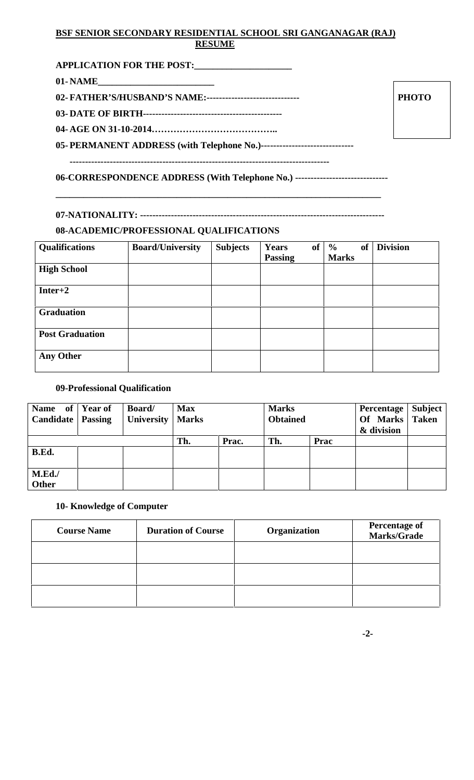# **BSF SENIOR SECONDARY RESIDENTIAL SCHOOL SRI GANGANAGAR (RAJ) RESUME**

| APPLICATION FOR THE POST:                                  |  |
|------------------------------------------------------------|--|
| 01 - NAME                                                  |  |
| 02- FATHER'S/HUSBAND'S NAME:------------------------------ |  |
|                                                            |  |
|                                                            |  |

**PHOTO**

**05- PERMANENT ADDRESS (with Telephone No.)------------------------------**

**------------------------------------------------------------------------------------**

**06-CORRESPONDENCE ADDRESS (With Telephone No.) ------------------------------**

**\_\_\_\_\_\_\_\_\_\_\_\_\_\_\_\_\_\_\_\_\_\_\_\_\_\_\_\_\_\_\_\_\_\_\_\_\_\_\_\_\_\_\_\_\_\_\_\_\_\_\_\_\_\_\_\_\_\_\_\_\_\_\_\_\_\_\_\_\_\_**

**07-NATIONALITY: -------------------------------------------------------------------------------**

### **08-ACADEMIC/PROFESSIONAL QUALIFICATIONS**

| <b>Qualifications</b>  | <b>Board/University</b> | <b>Subjects</b> | <b>of</b><br>Years<br><b>Passing</b> | <b>of</b><br>$\frac{6}{9}$<br><b>Marks</b> | <b>Division</b> |
|------------------------|-------------------------|-----------------|--------------------------------------|--------------------------------------------|-----------------|
| <b>High School</b>     |                         |                 |                                      |                                            |                 |
| $Inter+2$              |                         |                 |                                      |                                            |                 |
| <b>Graduation</b>      |                         |                 |                                      |                                            |                 |
| <b>Post Graduation</b> |                         |                 |                                      |                                            |                 |
| Any Other              |                         |                 |                                      |                                            |                 |

## **09-Professional Qualification**

| Name of Year of<br><b>Candidate</b>   Passing | <b>Board</b> /<br><b>University   Marks</b> | <b>Max</b> |       | <b>Marks</b><br><b>Obtained</b> |      | <b>Percentage</b><br>Of Marks Taken<br>& division | Subject |
|-----------------------------------------------|---------------------------------------------|------------|-------|---------------------------------|------|---------------------------------------------------|---------|
| B.Ed.                                         |                                             | Th.        | Prac. | Th.                             | Prac |                                                   |         |
|                                               |                                             |            |       |                                 |      |                                                   |         |
| M.Ed.<br>Other                                |                                             |            |       |                                 |      |                                                   |         |

## **10- Knowledge of Computer**

| <b>Course Name</b> | <b>Duration of Course</b> | Organization | <b>Percentage of</b><br><b>Marks/Grade</b> |
|--------------------|---------------------------|--------------|--------------------------------------------|
|                    |                           |              |                                            |
|                    |                           |              |                                            |
|                    |                           |              |                                            |